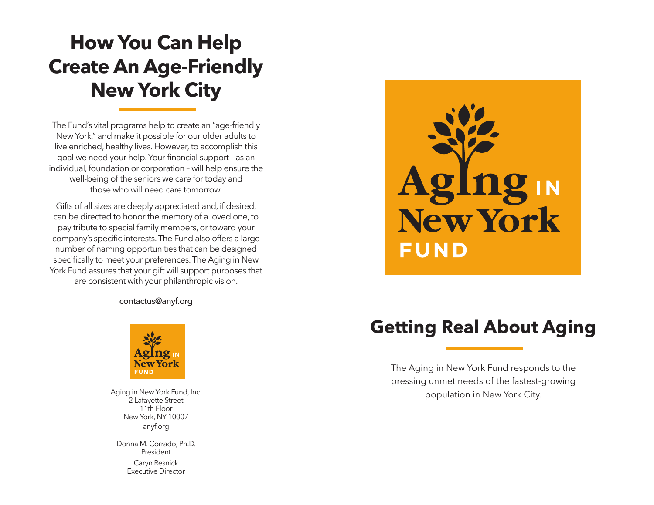# **How You Can Help Create An Age-Friendly New York City**

The Fund's vital programs help to create an "age-friendly New York," and make it possible for our older adults to live enriched, healthy lives. However, to accomplish this goal we need your help. Your financial support – as an individual, foundation or corporation – will help ensure the well-being of the seniors we care for today and those who will need care tomorrow.

Gifts of all sizes are deeply appreciated and, if desired, can be directed to honor the memory of a loved one, to pay tribute to special family members, or toward your company's specific interests. The Fund also offers a large number of naming opportunities that can be designed specifically to meet your preferences. The Aging in New York Fund assures that your gift will support purposes that are consistent with your philanthropic vision.

#### contactus@anyf.org



Aging in New York Fund, Inc. 2 Lafayette Street 11th Floor New York, NY 10007 anyf.org

Donna M. Corrado, Ph.D. President Caryn Resnick Executive Director



## **Getting Real About Aging**

The Aging in New York Fund responds to the pressing unmet needs of the fastest-growing population in New York City.